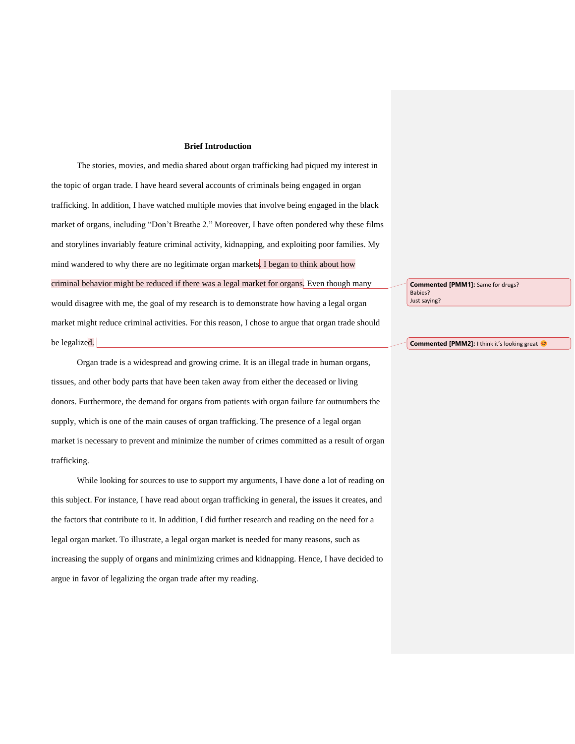## **Brief Introduction**

The stories, movies, and media shared about organ trafficking had piqued my interest in the topic of organ trade. I have heard several accounts of criminals being engaged in organ trafficking. In addition, I have watched multiple movies that involve being engaged in the black market of organs, including "Don't Breathe 2." Moreover, I have often pondered why these films and storylines invariably feature criminal activity, kidnapping, and exploiting poor families. My mind wandered to why there are no legitimate organ markets. I began to think about how criminal behavior might be reduced if there was a legal market for organs. Even though many would disagree with me, the goal of my research is to demonstrate how having a legal organ market might reduce criminal activities. For this reason, I chose to argue that organ trade should be legalized.

Organ trade is a widespread and growing crime. It is an illegal trade in human organs, tissues, and other body parts that have been taken away from either the deceased or living donors. Furthermore, the demand for organs from patients with organ failure far outnumbers the supply, which is one of the main causes of organ trafficking. The presence of a legal organ market is necessary to prevent and minimize the number of crimes committed as a result of organ trafficking.

While looking for sources to use to support my arguments, I have done a lot of reading on this subject. For instance, I have read about organ trafficking in general, the issues it creates, and the factors that contribute to it. In addition, I did further research and reading on the need for a legal organ market. To illustrate, a legal organ market is needed for many reasons, such as increasing the supply of organs and minimizing crimes and kidnapping. Hence, I have decided to argue in favor of legalizing the organ trade after my reading.

**Commented [PMM1]:** Same for drugs? Babies? Just saying?

**Commented [PMM2]:** I think it's looking great @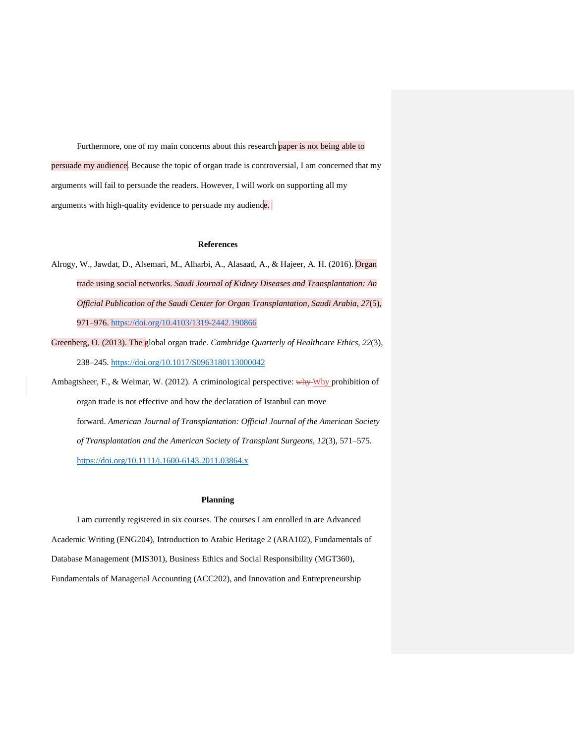Furthermore, one of my main concerns about this research paper is not being able to persuade my audience. Because the topic of organ trade is controversial, I am concerned that my arguments will fail to persuade the readers. However, I will work on supporting all my arguments with high-quality evidence to persuade my audience.

## **References**

- Alrogy, W., Jawdat, D., Alsemari, M., Alharbi, A., Alasaad, A., & Hajeer, A. H. (2016). Organ trade using social networks. *Saudi Journal of Kidney Diseases and Transplantation: An Official Publication of the Saudi Center for Organ Transplantation, Saudi Arabia*, *27*(5), 971–976.<https://doi.org/10.4103/1319-2442.190866>
- Greenberg, O. (2013). The global organ trade. *Cambridge Quarterly of Healthcare Ethics*, *22*(3), 238–245.<https://doi.org/10.1017/S0963180113000042>

Ambagtsheer, F., & Weimar, W. (2012). A criminological perspective: why Why prohibition of organ trade is not effective and how the declaration of Istanbul can move forward. *American Journal of Transplantation: Official Journal of the American Society of Transplantation and the American Society of Transplant Surgeons*, *12*(3), 571–575. <https://doi.org/10.1111/j.1600-6143.2011.03864.x>

## **Planning**

I am currently registered in six courses. The courses I am enrolled in are Advanced Academic Writing (ENG204), Introduction to Arabic Heritage 2 (ARA102), Fundamentals of Database Management (MIS301), Business Ethics and Social Responsibility (MGT360), Fundamentals of Managerial Accounting (ACC202), and Innovation and Entrepreneurship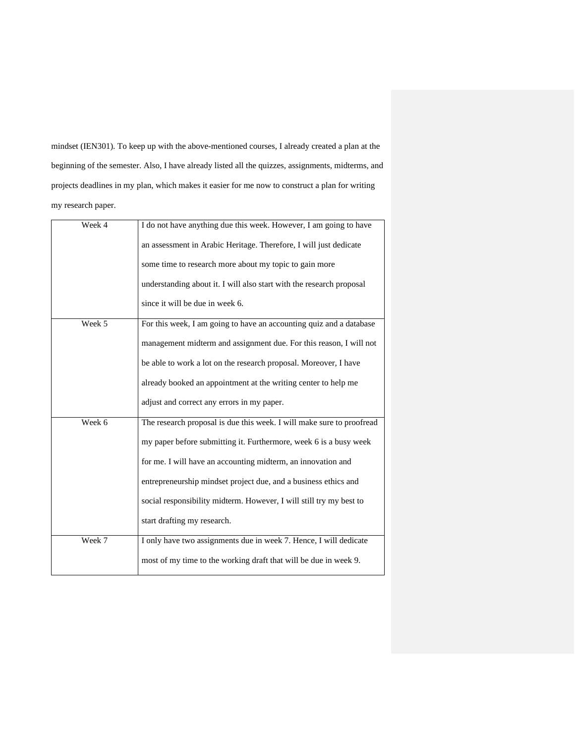mindset (IEN301). To keep up with the above-mentioned courses, I already created a plan at the beginning of the semester. Also, I have already listed all the quizzes, assignments, midterms, and projects deadlines in my plan, which makes it easier for me now to construct a plan for writing my research paper.

| Week 4 | I do not have anything due this week. However, I am going to have     |
|--------|-----------------------------------------------------------------------|
|        | an assessment in Arabic Heritage. Therefore, I will just dedicate     |
|        | some time to research more about my topic to gain more                |
|        | understanding about it. I will also start with the research proposal  |
|        | since it will be due in week 6.                                       |
| Week 5 | For this week, I am going to have an accounting quiz and a database   |
|        | management midterm and assignment due. For this reason, I will not    |
|        | be able to work a lot on the research proposal. Moreover, I have      |
|        | already booked an appointment at the writing center to help me        |
|        |                                                                       |
|        | adjust and correct any errors in my paper.                            |
| Week 6 | The research proposal is due this week. I will make sure to proofread |
|        | my paper before submitting it. Furthermore, week 6 is a busy week     |
|        | for me. I will have an accounting midterm, an innovation and          |
|        | entrepreneurship mindset project due, and a business ethics and       |
|        | social responsibility midterm. However, I will still try my best to   |
|        | start drafting my research.                                           |
| Week 7 | I only have two assignments due in week 7. Hence, I will dedicate     |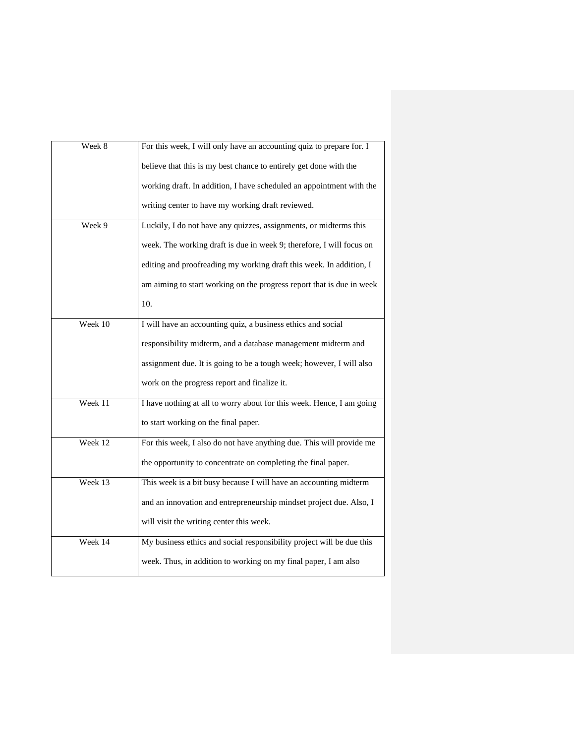| Week 8    | For this week, I will only have an accounting quiz to prepare for. I  |
|-----------|-----------------------------------------------------------------------|
|           | believe that this is my best chance to entirely get done with the     |
|           | working draft. In addition, I have scheduled an appointment with the  |
|           | writing center to have my working draft reviewed.                     |
| Week 9    | Luckily, I do not have any quizzes, assignments, or midterms this     |
|           | week. The working draft is due in week 9; therefore, I will focus on  |
|           | editing and proofreading my working draft this week. In addition, I   |
|           | am aiming to start working on the progress report that is due in week |
|           | 10.                                                                   |
| Week 10   | I will have an accounting quiz, a business ethics and social          |
|           | responsibility midterm, and a database management midterm and         |
|           | assignment due. It is going to be a tough week; however, I will also  |
|           | work on the progress report and finalize it.                          |
| Week $11$ | I have nothing at all to worry about for this week. Hence, I am going |
|           | to start working on the final paper.                                  |
| Week 12   | For this week, I also do not have anything due. This will provide me  |
|           | the opportunity to concentrate on completing the final paper.         |
| Week 13   | This week is a bit busy because I will have an accounting midterm     |
|           | and an innovation and entrepreneurship mindset project due. Also, I   |
|           | will visit the writing center this week.                              |
| Week 14   | My business ethics and social responsibility project will be due this |
|           | week. Thus, in addition to working on my final paper, I am also       |